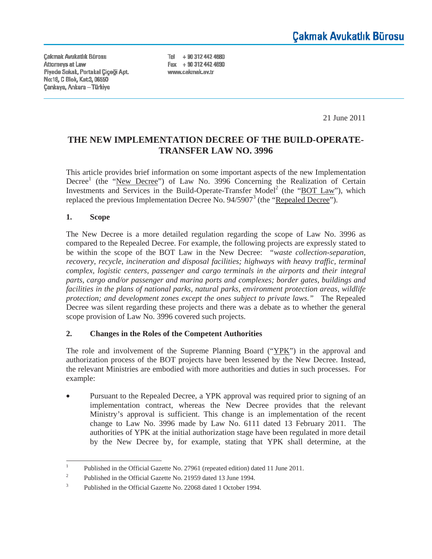**Cakmak Avukatlık Bürosu** Attorneys at Law Piyade Sokak, Portakal Çiçeği Apt. No:18, C Blok, Kat:3, 06550 **Çankaya, Ankara - Türkiye** 

Tel + 90 312 442 4680 Fax + 90 312 442 4690 www.cakmak.av.tr

21 June 2011

# **THE NEW IMPLEMENTATION DECREE OF THE BUILD-OPERATE-TRANSFER LAW NO. 3996**

This article provides brief information on some important aspects of the new Implementation Decree<sup>1</sup> (the "New Decree") of Law No. 3996 Concerning the Realization of Certain Investments and Services in the Build-Operate-Transfer Model<sup>2</sup> (the "BOT Law"), which replaced the previous Implementation Decree No.  $94/5907^3$  (the "Repealed Decree").

#### **1. Scope**

The New Decree is a more detailed regulation regarding the scope of Law No. 3996 as compared to the Repealed Decree. For example, the following projects are expressly stated to be within the scope of the BOT Law in the New Decree: *"waste collection-separation, recovery, recycle, incineration and disposal facilities; highways with heavy traffic, terminal complex, logistic centers, passenger and cargo terminals in the airports and their integral parts, cargo and/or passenger and marina ports and complexes; border gates, buildings and facilities in the plans of national parks, natural parks, environment protection areas, wildlife protection; and development zones except the ones subject to private laws."* The Repealed Decree was silent regarding these projects and there was a debate as to whether the general scope provision of Law No. 3996 covered such projects.

#### **2. Changes in the Roles of the Competent Authorities**

The role and involvement of the Supreme Planning Board  $("YPK")$  in the approval and authorization process of the BOT projects have been lessened by the New Decree. Instead, the relevant Ministries are embodied with more authorities and duties in such processes. For example:

Pursuant to the Repealed Decree, a YPK approval was required prior to signing of an implementation contract, whereas the New Decree provides that the relevant Ministry's approval is sufficient. This change is an implementation of the recent change to Law No. 3996 made by Law No. 6111 dated 13 February 2011. The authorities of YPK at the initial authorization stage have been regulated in more detail by the New Decree by, for example, stating that YPK shall determine, at the

<sup>1</sup> Published in the Official Gazette No. 27961 (repeated edition) dated 11 June 2011.

<sup>2</sup> Published in the Official Gazette No. 21959 dated 13 June 1994.

<sup>3</sup> Published in the Official Gazette No. 22068 dated 1 October 1994.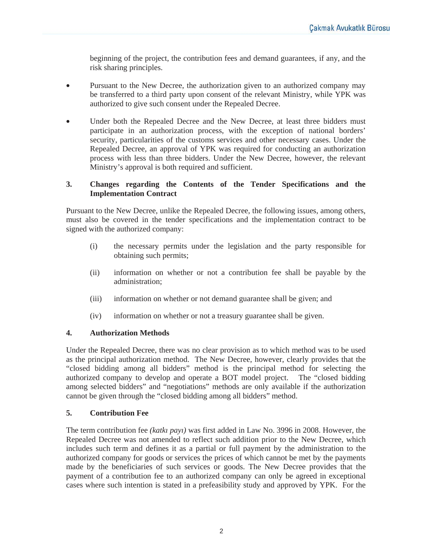beginning of the project, the contribution fees and demand guarantees, if any, and the risk sharing principles.

- Pursuant to the New Decree, the authorization given to an authorized company may be transferred to a third party upon consent of the relevant Ministry, while YPK was authorized to give such consent under the Repealed Decree.
- Under both the Repealed Decree and the New Decree, at least three bidders must participate in an authorization process, with the exception of national borders' security, particularities of the customs services and other necessary cases. Under the Repealed Decree, an approval of YPK was required for conducting an authorization process with less than three bidders. Under the New Decree, however, the relevant Ministry's approval is both required and sufficient.

## **3. Changes regarding the Contents of the Tender Specifications and the Implementation Contract**

Pursuant to the New Decree, unlike the Repealed Decree, the following issues, among others, must also be covered in the tender specifications and the implementation contract to be signed with the authorized company:

- (i) the necessary permits under the legislation and the party responsible for obtaining such permits;
- (ii) information on whether or not a contribution fee shall be payable by the administration;
- (iii) information on whether or not demand guarantee shall be given; and
- (iv) information on whether or not a treasury guarantee shall be given.

#### **4. Authorization Methods**

Under the Repealed Decree, there was no clear provision as to which method was to be used as the principal authorization method. The New Decree, however, clearly provides that the "closed bidding among all bidders" method is the principal method for selecting the authorized company to develop and operate a BOT model project. The "closed bidding among selected bidders" and "negotiations" methods are only available if the authorization cannot be given through the "closed bidding among all bidders" method.

#### **5. Contribution Fee**

The term contribution fee *(katkı payı)* was first added in Law No. 3996 in 2008. However, the Repealed Decree was not amended to reflect such addition prior to the New Decree, which includes such term and defines it as a partial or full payment by the administration to the authorized company for goods or services the prices of which cannot be met by the payments made by the beneficiaries of such services or goods. The New Decree provides that the payment of a contribution fee to an authorized company can only be agreed in exceptional cases where such intention is stated in a prefeasibility study and approved by YPK. For the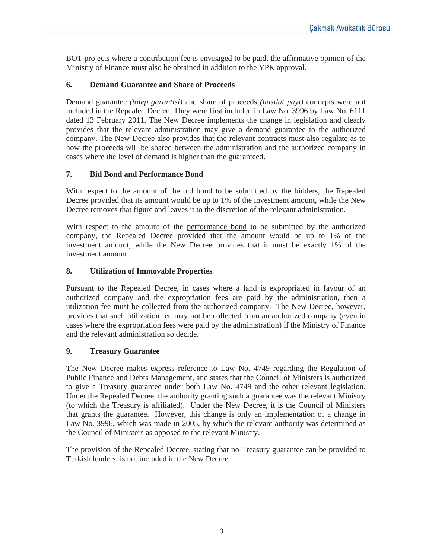BOT projects where a contribution fee is envisaged to be paid, the affirmative opinion of the Ministry of Finance must also be obtained in addition to the YPK approval.

#### **6. Demand Guarantee and Share of Proceeds**

Demand guarantee *(talep garantisi)* and share of proceeds *(hasılat payı)* concepts were not included in the Repealed Decree. They were first included in Law No. 3996 by Law No. 6111 dated 13 February 2011. The New Decree implements the change in legislation and clearly provides that the relevant administration may give a demand guarantee to the authorized company. The New Decree also provides that the relevant contracts must also regulate as to how the proceeds will be shared between the administration and the authorized company in cases where the level of demand is higher than the guaranteed.

## **7. Bid Bond and Performance Bond**

With respect to the amount of the bid bond to be submitted by the bidders, the Repealed Decree provided that its amount would be up to 1% of the investment amount, while the New Decree removes that figure and leaves it to the discretion of the relevant administration.

With respect to the amount of the performance bond to be submitted by the authorized company, the Repealed Decree provided that the amount would be up to 1% of the investment amount, while the New Decree provides that it must be exactly 1% of the investment amount.

#### **8. Utilization of Immovable Properties**

Pursuant to the Repealed Decree, in cases where a land is expropriated in favour of an authorized company and the expropriation fees are paid by the administration, then a utilization fee must be collected from the authorized company. The New Decree, however, provides that such utilization fee may not be collected from an authorized company (even in cases where the expropriation fees were paid by the administration) if the Ministry of Finance and the relevant administration so decide.

## **9. Treasury Guarantee**

The New Decree makes express reference to Law No. 4749 regarding the Regulation of Public Finance and Debts Management, and states that the Council of Ministers is authorized to give a Treasury guarantee under both Law No. 4749 and the other relevant legislation. Under the Repealed Decree, the authority granting such a guarantee was the relevant Ministry (to which the Treasury is affiliated). Under the New Decree, it is the Council of Ministers that grants the guarantee. However, this change is only an implementation of a change in Law No. 3996, which was made in 2005, by which the relevant authority was determined as the Council of Ministers as opposed to the relevant Ministry.

The provision of the Repealed Decree, stating that no Treasury guarantee can be provided to Turkish lenders, is not included in the New Decree.